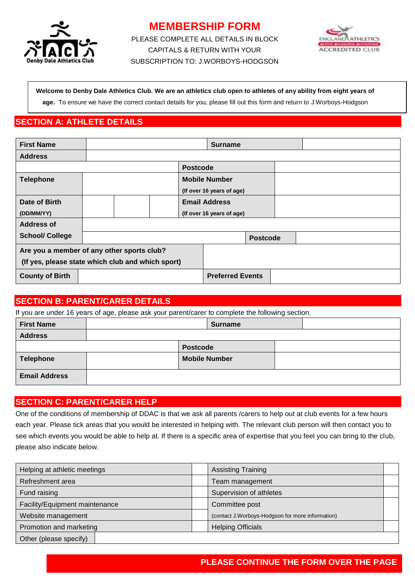

# **MEMBERSHIP FORM**

PLEASE COMPLETE ALL DETAILS IN BLOCK CAPITALS & RETURN WITH YOUR SUBSCRIPTION TO: J.WORBOYS-HODGSON



#### **Welcome to Denby Dale Athletics Club. We are an athletics club open to athletes of any ability from eight years of**

**age.** To ensure we have the correct contact details for you, please fill out this form and return to J.Worboys-Hodgson

# **SECTION A: ATHLETE DETAILS**

| <b>First Name</b>                                 |  |  | <b>Surname</b>            |                           |                 |  |  |  |  |
|---------------------------------------------------|--|--|---------------------------|---------------------------|-----------------|--|--|--|--|
| <b>Address</b>                                    |  |  |                           |                           |                 |  |  |  |  |
|                                                   |  |  |                           | <b>Postcode</b>           |                 |  |  |  |  |
| <b>Telephone</b>                                  |  |  |                           | <b>Mobile Number</b>      |                 |  |  |  |  |
|                                                   |  |  |                           | (If over 16 years of age) |                 |  |  |  |  |
| Date of Birth                                     |  |  | <b>Email Address</b>      |                           |                 |  |  |  |  |
| (DD/MM/YY)                                        |  |  | (If over 16 years of age) |                           |                 |  |  |  |  |
| <b>Address of</b>                                 |  |  |                           |                           |                 |  |  |  |  |
| <b>School/ College</b>                            |  |  |                           |                           | <b>Postcode</b> |  |  |  |  |
| Are you a member of any other sports club?        |  |  |                           |                           |                 |  |  |  |  |
| (If yes, please state which club and which sport) |  |  |                           |                           |                 |  |  |  |  |
| <b>County of Birth</b>                            |  |  | <b>Preferred Events</b>   |                           |                 |  |  |  |  |

## **SECTION B: PARENT/CARER DETAILS**

If you are under 16 years of age, please ask your parent/carer to complete the following section.

| <b>First Name</b>    | <b>Surname</b> |                      |  |
|----------------------|----------------|----------------------|--|
| <b>Address</b>       |                |                      |  |
|                      |                | <b>Postcode</b>      |  |
| Telephone            |                | <b>Mobile Number</b> |  |
| <b>Email Address</b> |                |                      |  |

# **SECTION C: PARENT/CARER HELP**

One of the conditions of membership of DDAC is that we ask all parents /carers to help out at club events for a few hours each year. Please tick areas that you would be interested in helping with. The relevant club person will then contact you to see which events you would be able to help at. If there is a specific area of expertise that you feel you can bring to the club, please also indicate below.

| Helping at athletic meetings   |  | <b>Assisting Training</b>                         |  |
|--------------------------------|--|---------------------------------------------------|--|
| Refreshment area               |  | Team management                                   |  |
| Fund raising                   |  | Supervision of athletes                           |  |
| Facility/Equipment maintenance |  | Committee post                                    |  |
| Website management             |  | (contact J. Worboys-Hodgson for more information) |  |
| Promotion and marketing        |  | <b>Helping Officials</b>                          |  |
| Other (please specify)         |  |                                                   |  |